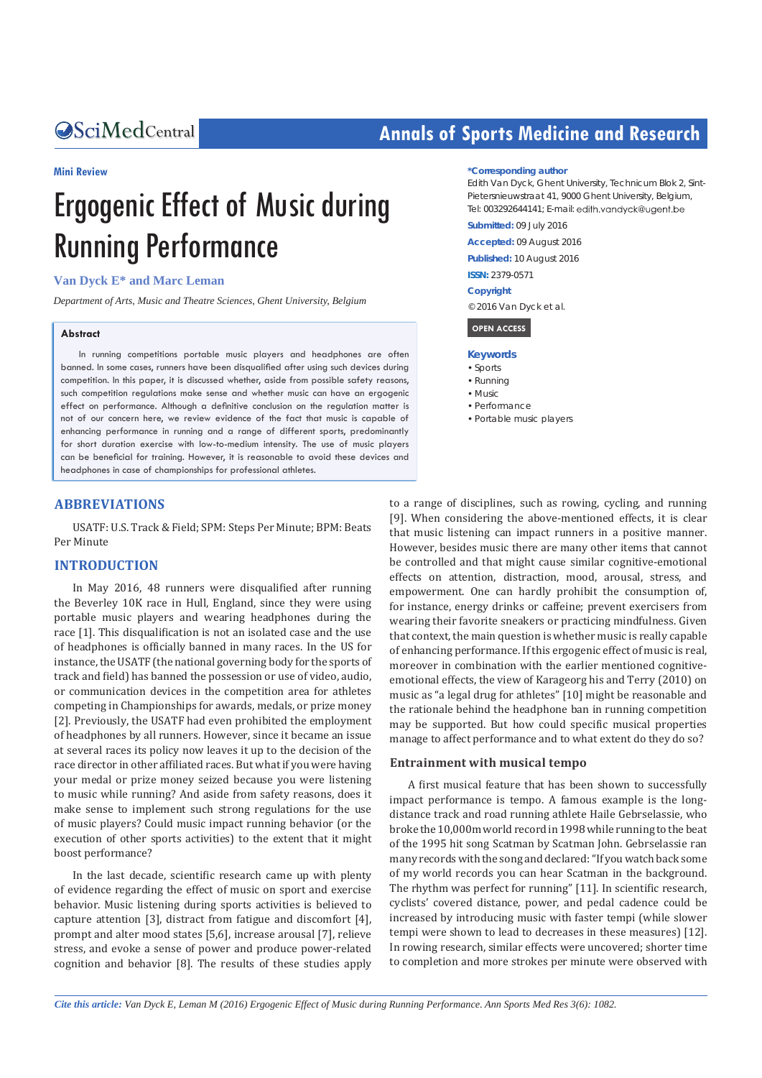#### **Mini Review**

# Ergogenic Effect of Music during Running Performance

# **Van Dyck E\* and Marc Leman**

*Department of Arts, Music and Theatre Sciences, Ghent University, Belgium*

#### **Abstract**

In running competitions portable music players and headphones are often banned. In some cases, runners have been disqualified after using such devices during competition. In this paper, it is discussed whether, aside from possible safety reasons, such competition regulations make sense and whether music can have an ergogenic effect on performance. Although a definitive conclusion on the regulation matter is not of our concern here, we review evidence of the fact that music is capable of enhancing performance in running and a range of different sports, predominantly for short duration exercise with low-to-medium intensity. The use of music players can be beneficial for training. However, it is reasonable to avoid these devices and headphones in case of championships for professional athletes.

#### **ABBREVIATIONS**

USATF: U.S. Track & Field; SPM: Steps Per Minute; BPM: Beats Per Minute

#### **INTRODUCTION**

In May 2016, 48 runners were disqualified after running the Beverley 10K race in Hull, England, since they were using portable music players and wearing headphones during the race [1]. This disqualification is not an isolated case and the use of headphones is officially banned in many races. In the US for instance, the USATF (the national governing body for the sports of track and field) has banned the possession or use of video, audio, or communication devices in the competition area for athletes competing in Championships for awards, medals, or prize money [2]. Previously, the USATF had even prohibited the employment of headphones by all runners. However, since it became an issue at several races its policy now leaves it up to the decision of the race director in other affiliated races. But what if you were having your medal or prize money seized because you were listening to music while running? And aside from safety reasons, does it make sense to implement such strong regulations for the use of music players? Could music impact running behavior (or the execution of other sports activities) to the extent that it might boost performance?

In the last decade, scientific research came up with plenty of evidence regarding the effect of music on sport and exercise behavior. Music listening during sports activities is believed to capture attention [3], distract from fatigue and discomfort [4], prompt and alter mood states [5,6], increase arousal [7], relieve stress, and evoke a sense of power and produce power-related cognition and behavior [8]. The results of these studies apply

# **CALCED Annals of Sports Medicine and Research Annals of Sports Medicine and Research**

#### **\*Corresponding author**

Edith Van Dyck, Ghent University, Technicum Blok 2, Sint-Pietersnieuwstraat 41, 9000 Ghent University, Belgium, Tel: 003292644141; E-mail: edith.vandyck@ugent.be

**Submitted:** 09 July 2016

**Accepted:** 09 August 2016

**Published:** 10 August 2016

**ISSN:** 2379-0571

#### **Copyright**

© 2016 Van Dyck et al.

#### **OPEN ACCESS**

- **Keywords**
- • Sports
- • Running
- • Music
- • Performance
- • Portable music players

to a range of disciplines, such as rowing, cycling, and running [9]. When considering the above-mentioned effects, it is clear that music listening can impact runners in a positive manner. However, besides music there are many other items that cannot be controlled and that might cause similar cognitive-emotional effects on attention, distraction, mood, arousal, stress, and empowerment. One can hardly prohibit the consumption of, for instance, energy drinks or caffeine; prevent exercisers from wearing their favorite sneakers or practicing mindfulness. Given that context, the main question is whether music is really capable of enhancing performance. If this ergogenic effect of music is real, moreover in combination with the earlier mentioned cognitiveemotional effects, the view of Karageorg his and Terry (2010) on music as "a legal drug for athletes" [10] might be reasonable and the rationale behind the headphone ban in running competition may be supported. But how could specific musical properties manage to affect performance and to what extent do they do so?

#### **Entrainment with musical tempo**

A first musical feature that has been shown to successfully impact performance is tempo. A famous example is the longdistance track and road running athlete Haile Gebrselassie, who broke the 10,000m world record in 1998 while running to the beat of the 1995 hit song Scatman by Scatman John. Gebrselassie ran many records with the song and declared: "If you watch back some of my world records you can hear Scatman in the background. The rhythm was perfect for running" [11]. In scientific research, cyclists' covered distance, power, and pedal cadence could be increased by introducing music with faster tempi (while slower tempi were shown to lead to decreases in these measures) [12]. In rowing research, similar effects were uncovered; shorter time to completion and more strokes per minute were observed with

*Cite this article: Van Dyck E, Leman M (2016) Ergogenic Effect of Music during Running Performance. Ann Sports Med Res 3(6): 1082.*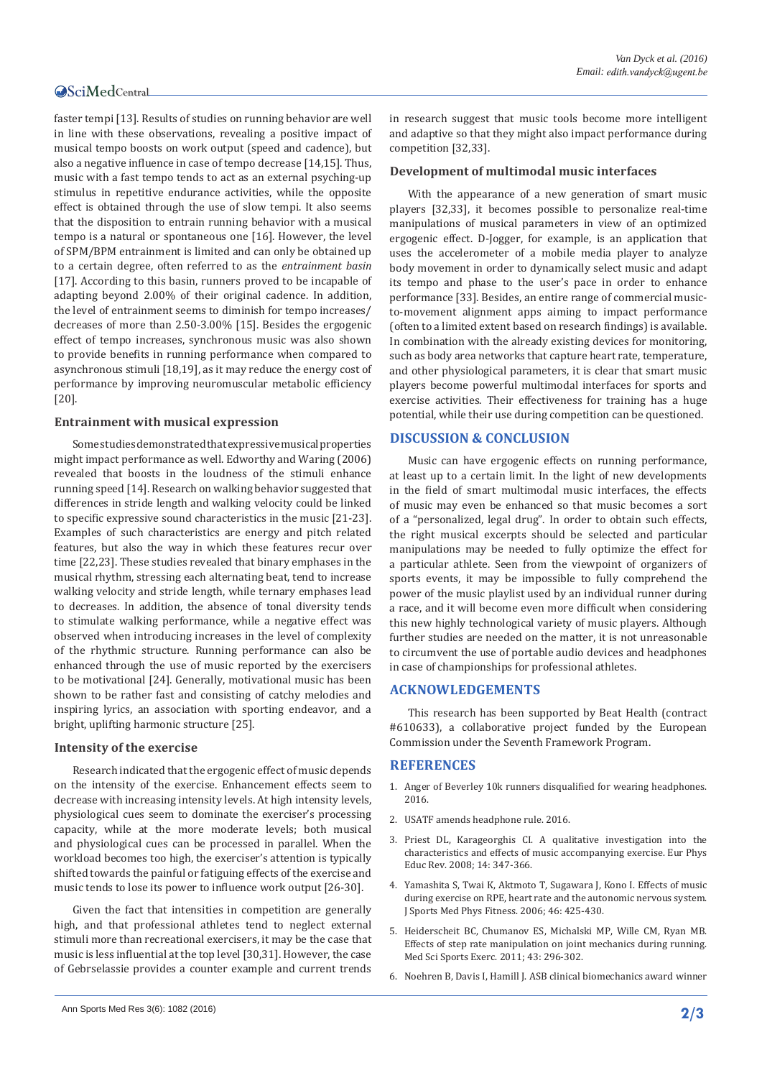## **OSciMedCentral**

faster tempi [13]. Results of studies on running behavior are well in line with these observations, revealing a positive impact of musical tempo boosts on work output (speed and cadence), but also a negative influence in case of tempo decrease [14,15]. Thus, music with a fast tempo tends to act as an external psyching-up stimulus in repetitive endurance activities, while the opposite effect is obtained through the use of slow tempi. It also seems that the disposition to entrain running behavior with a musical tempo is a natural or spontaneous one [16]. However, the level of SPM/BPM entrainment is limited and can only be obtained up to a certain degree, often referred to as the *entrainment basin* [17]. According to this basin, runners proved to be incapable of adapting beyond 2.00% of their original cadence. In addition, the level of entrainment seems to diminish for tempo increases/ decreases of more than 2.50-3.00% [15]. Besides the ergogenic effect of tempo increases, synchronous music was also shown to provide benefits in running performance when compared to asynchronous stimuli [18,19], as it may reduce the energy cost of performance by improving neuromuscular metabolic efficiency [20].

#### **Entrainment with musical expression**

Some studies demonstrated that expressive musical properties might impact performance as well. Edworthy and Waring (2006) revealed that boosts in the loudness of the stimuli enhance running speed [14]. Research on walking behavior suggested that differences in stride length and walking velocity could be linked to specific expressive sound characteristics in the music [21-23]. Examples of such characteristics are energy and pitch related features, but also the way in which these features recur over time [22,23]. These studies revealed that binary emphases in the musical rhythm, stressing each alternating beat, tend to increase walking velocity and stride length, while ternary emphases lead to decreases. In addition, the absence of tonal diversity tends to stimulate walking performance, while a negative effect was observed when introducing increases in the level of complexity of the rhythmic structure. Running performance can also be enhanced through the use of music reported by the exercisers to be motivational [24]. Generally, motivational music has been shown to be rather fast and consisting of catchy melodies and inspiring lyrics, an association with sporting endeavor, and a bright, uplifting harmonic structure [25].

### **Intensity of the exercise**

Research indicated that the ergogenic effect of music depends on the intensity of the exercise. Enhancement effects seem to decrease with increasing intensity levels. At high intensity levels, physiological cues seem to dominate the exerciser's processing capacity, while at the more moderate levels; both musical and physiological cues can be processed in parallel. When the workload becomes too high, the exerciser's attention is typically shifted towards the painful or fatiguing effects of the exercise and music tends to lose its power to influence work output [26-30].

Given the fact that intensities in competition are generally high, and that professional athletes tend to neglect external stimuli more than recreational exercisers, it may be the case that music is less influential at the top level [30,31]. However, the case of Gebrselassie provides a counter example and current trends in research suggest that music tools become more intelligent and adaptive so that they might also impact performance during competition [32,33].

#### **Development of multimodal music interfaces**

With the appearance of a new generation of smart music players [32,33], it becomes possible to personalize real-time manipulations of musical parameters in view of an optimized ergogenic effect. D-Jogger, for example, is an application that uses the accelerometer of a mobile media player to analyze body movement in order to dynamically select music and adapt its tempo and phase to the user's pace in order to enhance performance [33]. Besides, an entire range of commercial musicto-movement alignment apps aiming to impact performance (often to a limited extent based on research findings) is available. In combination with the already existing devices for monitoring, such as body area networks that capture heart rate, temperature, and other physiological parameters, it is clear that smart music players become powerful multimodal interfaces for sports and exercise activities. Their effectiveness for training has a huge potential, while their use during competition can be questioned.

#### **DISCUSSION & CONCLUSION**

Music can have ergogenic effects on running performance, at least up to a certain limit. In the light of new developments in the field of smart multimodal music interfaces, the effects of music may even be enhanced so that music becomes a sort of a "personalized, legal drug". In order to obtain such effects, the right musical excerpts should be selected and particular manipulations may be needed to fully optimize the effect for a particular athlete. Seen from the viewpoint of organizers of sports events, it may be impossible to fully comprehend the power of the music playlist used by an individual runner during a race, and it will become even more difficult when considering this new highly technological variety of music players. Although further studies are needed on the matter, it is not unreasonable to circumvent the use of portable audio devices and headphones in case of championships for professional athletes.

#### **ACKNOWLEDGEMENTS**

This research has been supported by Beat Health (contract #610633), a collaborative project funded by the European Commission under the Seventh Framework Program.

# **REFERENCES**

- 1. [Anger of Beverley 10k runners disqualified for wearing headphones.](http://www.hulldailymail.co.uk/beverley-10k-runners-speak/story-29252361-detail/story.html)  [2016.](http://www.hulldailymail.co.uk/beverley-10k-runners-speak/story-29252361-detail/story.html)
- 2. [USATF amends headphone rule. 2016.](http://www.usatf.org/news/view.aspx?duid=USATF_2008_12_22_10_22_16)
- 3. [Priest DL, Karageorghis CI. A qualitative investigation into the](https://www.scribd.com/document/208478404/A-Qualitative-Investigation-Into-the-Characterists-Priest-Karageoghis)  [characteristics and effects of music accompanying exercise. Eur Phys](https://www.scribd.com/document/208478404/A-Qualitative-Investigation-Into-the-Characterists-Priest-Karageoghis)  [Educ Rev. 2008; 14: 347-366.](https://www.scribd.com/document/208478404/A-Qualitative-Investigation-Into-the-Characterists-Priest-Karageoghis)
- 4. [Yamashita S, Twai K, Aktmoto T, Sugawara J, Kono I. Effects of music](http://www.ncbi.nlm.nih.gov/pubmed/16998447)  [during exercise on RPE, heart rate and the autonomic nervous system.](http://www.ncbi.nlm.nih.gov/pubmed/16998447)  [J Sports Med Phys Fitness. 2006; 46: 425-430.](http://www.ncbi.nlm.nih.gov/pubmed/16998447)
- 5. [Heiderscheit BC, Chumanov ES, Michalski MP, Wille CM, Ryan MB.](http://www.ncbi.nlm.nih.gov/pubmed/20581720)  [Effects of step rate manipulation on joint mechanics during running.](http://www.ncbi.nlm.nih.gov/pubmed/20581720)  [Med Sci Sports Exerc. 2011; 43: 296-302.](http://www.ncbi.nlm.nih.gov/pubmed/20581720)
- 6. [Noehren B, Davis I, Hamill J. ASB clinical biomechanics award winner](http://www.ncbi.nlm.nih.gov/pubmed/17728030)